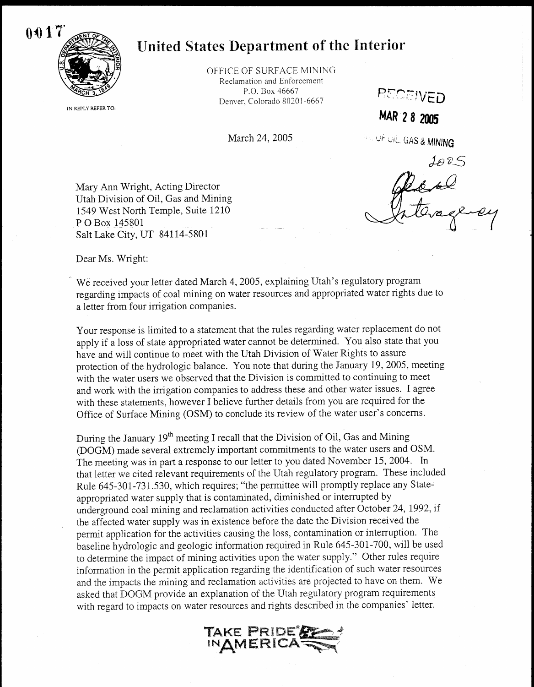

IN REPLY REFER TO :

## United States Department of the Interior

OFFICE OF SURFACE MINING Reclamation and Enforcement P.O. Box 46667 Denver, Colorado 80201-6667

March 24, 2005

**EQEIVED** 

MAR 2 8 2005

**U. UF UIL, GAS & MINING** 

JODS<br>Decke

Mary Ann Wright, Acting Director Utah Division of Oil, Gas and Mining 1549 West North Temple, Suite 1210 P O Box 145801 Salt Lake City, UT 84114-5801

Dear Ms. Wright:

We received your letter dated March 4, 2005, explaining Utah's regulatory program regarding impacts of coal mining on water resources and appropriated water rights due to a letter from four irrigation companies .

Your response is limited to a statement that the rules regarding water replacement do not apply if a loss of state appropriated water cannot be determined. You also state that you have and will continue to meet with the Utah Division of Water Rights to assure protection of the hydrologic balance . You note that during the January 19, 2005, meeting with the water users we observed that the Division is committed to continuing to meet and work with the irrigation companies to address these and other water issues . I agree with these statements, however I believe further details from you are required for the Office of Surface Mining (OSM) to conclude its review of the water user's concerns .

During the January  $19<sup>th</sup>$  meeting I recall that the Division of Oil, Gas and Mining (DOGM) made several extremely important commitments to the water users and OSM . The meeting was in part a response to our letter to you dated November 15, 2004. In that letter we cited relevant requirements of the Utah regulatory program. These included Rule 645-301-731.530, which requires; "the permittee will promptly replace any Stateappropriated water supply that is contaminated, diminished or interrupted by underground coal mining and reclamation activities conducted after October 24, 1992, if the affected water supply was in existence before the date the Division received the permit application for the activities causing the loss, contamination or interruption. The baseline hydrologic and geologic information required in Rule 645-301-700, will be used to determine the impact of mining activities upon the water supply ." Other rules require information in the permit application regarding the identification of such water resources and the impacts the mining and reclamation activities are projected to have on them. We asked that DOGM provide an explanation of the Utah regulatory program requirements with regard to impacts on water resources and rights described in the companies' letter .